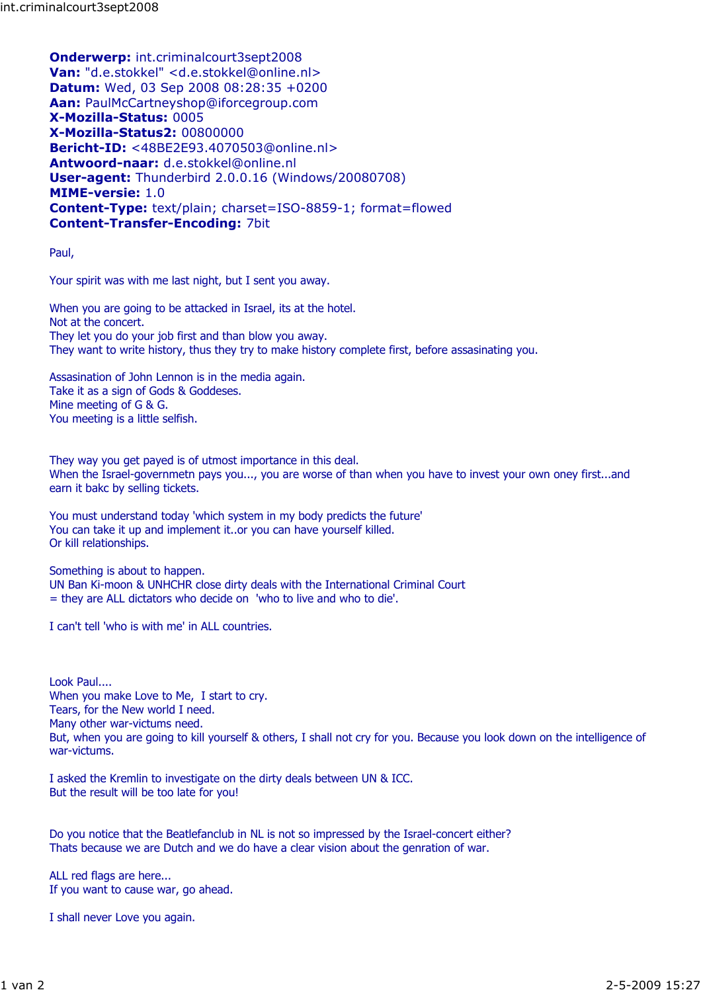Onderwerp: int.criminalcourt3sept2008 Van: "d.e.stokkel" <d.e.stokkel@online.nl> Datum: Wed, 03 Sep 2008 08:28:35 +0200 Aan: PaulMcCartneyshop@iforcegroup.com X-Mozilla-Status: 0005 X-Mozilla-Status2: 00800000 Bericht-ID: <48BE2E93.4070503@online.nl> Antwoord-naar: d.e.stokkel@online.nl User-agent: Thunderbird 2.0.0.16 (Windows/20080708) MIME-versie: 1.0 Content-Type: text/plain; charset=ISO-8859-1; format=flowed Content-Transfer-Encoding: 7bit

Paul,

Your spirit was with me last night, but I sent you away.

When you are going to be attacked in Israel, its at the hotel. Not at the concert. They let you do your job first and than blow you away. They want to write history, thus they try to make history complete first, before assasinating you.

Assasination of John Lennon is in the media again. Take it as a sign of Gods & Goddeses. Mine meeting of G & G. You meeting is a little selfish.

They way you get payed is of utmost importance in this deal. When the Israel-governmetn pays you..., you are worse of than when you have to invest your own oney first...and earn it bakc by selling tickets.

You must understand today 'which system in my body predicts the future' You can take it up and implement it..or you can have yourself killed. Or kill relationships.

Something is about to happen. UN Ban Ki-moon & UNHCHR close dirty deals with the International Criminal Court = they are ALL dictators who decide on 'who to live and who to die'.

I can't tell 'who is with me' in ALL countries.

Look Paul.... When you make Love to Me, I start to cry. Tears, for the New world I need. Many other war-victums need. But, when you are going to kill yourself & others, I shall not cry for you. Because you look down on the intelligence of war-victums.

I asked the Kremlin to investigate on the dirty deals between UN & ICC. But the result will be too late for you!

Do you notice that the Beatlefanclub in NL is not so impressed by the Israel-concert either? Thats because we are Dutch and we do have a clear vision about the genration of war.

ALL red flags are here... If you want to cause war, go ahead.

I shall never Love you again.